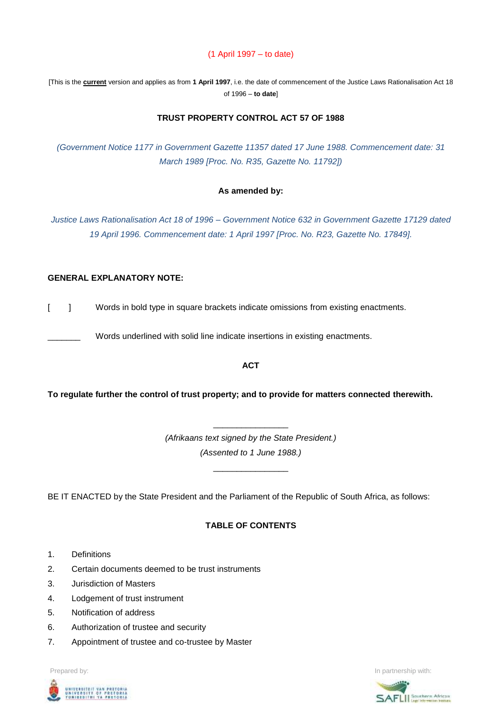## (1 April 1997 – to date)

[This is the **current** version and applies as from **1 April 1997**, i.e. the date of commencement of the Justice Laws Rationalisation Act 18 of 1996 – **to date**]

# **TRUST PROPERTY CONTROL ACT 57 OF 1988**

*(Government Notice 1177 in Government Gazette 11357 dated 17 June 1988. Commencement date: 31 March 1989 [Proc. No. R35, Gazette No. 11792])*

#### **As amended by:**

*Justice Laws Rationalisation Act 18 of 1996 – Government Notice 632 in Government Gazette 17129 dated 19 April 1996. Commencement date: 1 April 1997 [Proc. No. R23, Gazette No. 17849].*

### **GENERAL EXPLANATORY NOTE:**

[ ] Words in bold type in square brackets indicate omissions from existing enactments.

Words underlined with solid line indicate insertions in existing enactments.

#### **ACT**

**To regulate further the control of trust property; and to provide for matters connected therewith.**

*(Afrikaans text signed by the State President.) (Assented to 1 June 1988.)*

\_\_\_\_\_\_\_\_\_\_\_\_\_\_\_\_

\_\_\_\_\_\_\_\_\_\_\_\_\_\_\_\_

BE IT ENACTED by the State President and the Parliament of the Republic of South Africa, as follows:

### **TABLE OF CONTENTS**

- 1. Definitions
- 2. Certain documents deemed to be trust instruments
- 3. Jurisdiction of Masters
- 4. Lodgement of trust instrument
- 5. Notification of address
- 6. Authorization of trustee and security
- 7. Appointment of trustee and co-trustee by Master



Prepared by: **In partnership with:**  $\blacksquare$  **In partnership with:**  $\blacksquare$  **In partnership with:**  $\blacksquare$ 

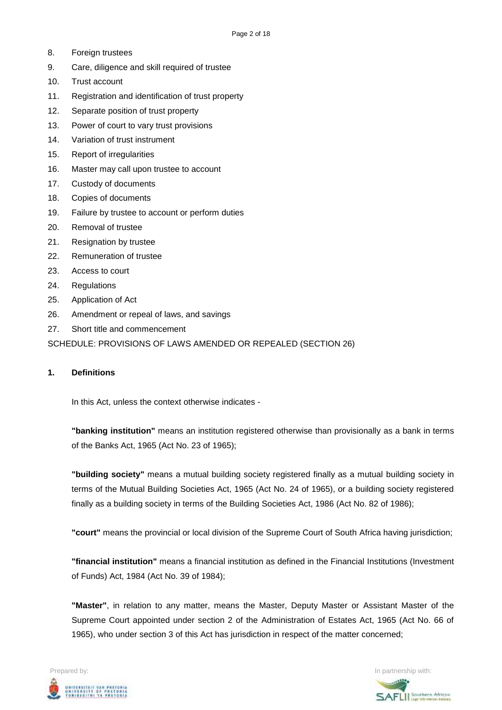- 8. Foreign trustees
- 9. Care, diligence and skill required of trustee
- 10. Trust account
- 11. Registration and identification of trust property
- 12. Separate position of trust property
- 13. Power of court to vary trust provisions
- 14. Variation of trust instrument
- 15. Report of irregularities
- 16. Master may call upon trustee to account
- 17. Custody of documents
- 18. Copies of documents
- 19. Failure by trustee to account or perform duties
- 20. Removal of trustee
- 21. Resignation by trustee
- 22. Remuneration of trustee
- 23. Access to court
- 24. Regulations
- 25. Application of Act
- 26. Amendment or repeal of laws, and savings
- 27. Short title and commencement

SCHEDULE: PROVISIONS OF LAWS AMENDED OR REPEALED (SECTION 26)

### **1. Definitions**

In this Act, unless the context otherwise indicates -

**"banking institution"** means an institution registered otherwise than provisionally as a bank in terms of the Banks Act, 1965 (Act No. 23 of 1965);

**"building society"** means a mutual building society registered finally as a mutual building society in terms of the Mutual Building Societies Act, 1965 (Act No. 24 of 1965), or a building society registered finally as a building society in terms of the Building Societies Act, 1986 (Act No. 82 of 1986);

**"court"** means the provincial or local division of the Supreme Court of South Africa having jurisdiction;

**"financial institution"** means a financial institution as defined in the Financial Institutions (Investment of Funds) Act, 1984 (Act No. 39 of 1984);

**"Master"**, in relation to any matter, means the Master, Deputy Master or Assistant Master of the Supreme Court appointed under section 2 of the Administration of Estates Act, 1965 (Act No. 66 of 1965), who under section 3 of this Act has jurisdiction in respect of the matter concerned;



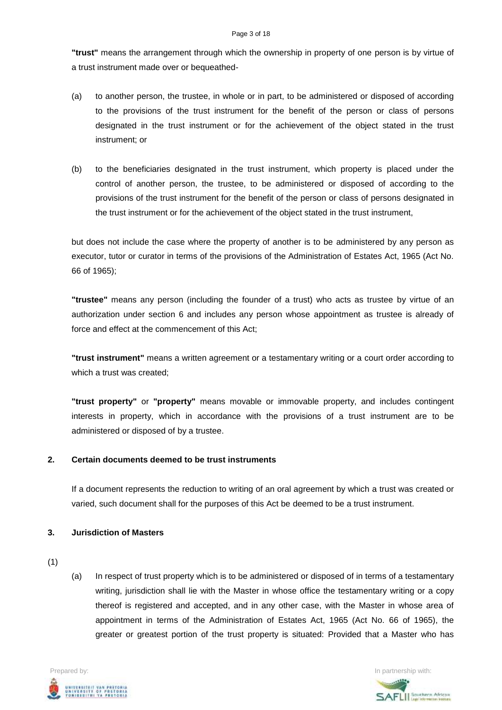**"trust"** means the arrangement through which the ownership in property of one person is by virtue of a trust instrument made over or bequeathed-

- (a) to another person, the trustee, in whole or in part, to be administered or disposed of according to the provisions of the trust instrument for the benefit of the person or class of persons designated in the trust instrument or for the achievement of the object stated in the trust instrument; or
- (b) to the beneficiaries designated in the trust instrument, which property is placed under the control of another person, the trustee, to be administered or disposed of according to the provisions of the trust instrument for the benefit of the person or class of persons designated in the trust instrument or for the achievement of the object stated in the trust instrument,

but does not include the case where the property of another is to be administered by any person as executor, tutor or curator in terms of the provisions of the Administration of Estates Act, 1965 (Act No. 66 of 1965);

**"trustee"** means any person (including the founder of a trust) who acts as trustee by virtue of an authorization under section 6 and includes any person whose appointment as trustee is already of force and effect at the commencement of this Act;

**"trust instrument"** means a written agreement or a testamentary writing or a court order according to which a trust was created;

**"trust property"** or **"property"** means movable or immovable property, and includes contingent interests in property, which in accordance with the provisions of a trust instrument are to be administered or disposed of by a trustee.

# **2. Certain documents deemed to be trust instruments**

If a document represents the reduction to writing of an oral agreement by which a trust was created or varied, such document shall for the purposes of this Act be deemed to be a trust instrument.

### **3. Jurisdiction of Masters**

(1)

(a) In respect of trust property which is to be administered or disposed of in terms of a testamentary writing, jurisdiction shall lie with the Master in whose office the testamentary writing or a copy thereof is registered and accepted, and in any other case, with the Master in whose area of appointment in terms of the Administration of Estates Act, 1965 (Act No. 66 of 1965), the greater or greatest portion of the trust property is situated: Provided that a Master who has



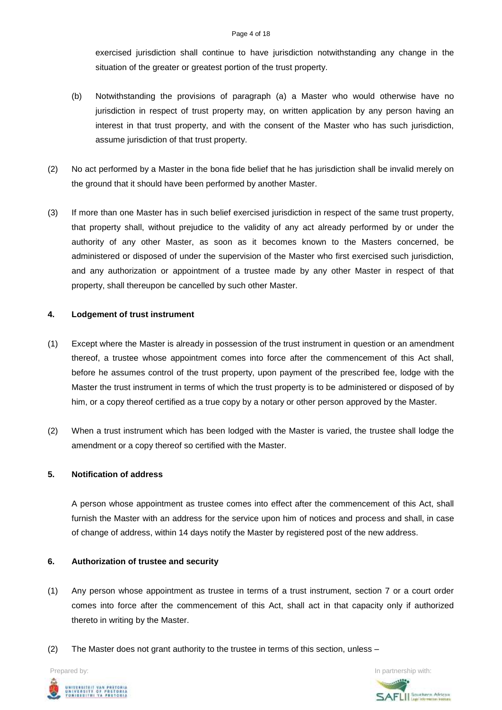exercised jurisdiction shall continue to have jurisdiction notwithstanding any change in the situation of the greater or greatest portion of the trust property.

- (b) Notwithstanding the provisions of paragraph (a) a Master who would otherwise have no jurisdiction in respect of trust property may, on written application by any person having an interest in that trust property, and with the consent of the Master who has such jurisdiction, assume jurisdiction of that trust property.
- (2) No act performed by a Master in the bona fide belief that he has jurisdiction shall be invalid merely on the ground that it should have been performed by another Master.
- (3) If more than one Master has in such belief exercised jurisdiction in respect of the same trust property, that property shall, without prejudice to the validity of any act already performed by or under the authority of any other Master, as soon as it becomes known to the Masters concerned, be administered or disposed of under the supervision of the Master who first exercised such jurisdiction, and any authorization or appointment of a trustee made by any other Master in respect of that property, shall thereupon be cancelled by such other Master.

# **4. Lodgement of trust instrument**

- (1) Except where the Master is already in possession of the trust instrument in question or an amendment thereof, a trustee whose appointment comes into force after the commencement of this Act shall, before he assumes control of the trust property, upon payment of the prescribed fee, lodge with the Master the trust instrument in terms of which the trust property is to be administered or disposed of by him, or a copy thereof certified as a true copy by a notary or other person approved by the Master.
- (2) When a trust instrument which has been lodged with the Master is varied, the trustee shall lodge the amendment or a copy thereof so certified with the Master.

# **5. Notification of address**

A person whose appointment as trustee comes into effect after the commencement of this Act, shall furnish the Master with an address for the service upon him of notices and process and shall, in case of change of address, within 14 days notify the Master by registered post of the new address.

# **6. Authorization of trustee and security**

- (1) Any person whose appointment as trustee in terms of a trust instrument, section 7 or a court order comes into force after the commencement of this Act, shall act in that capacity only if authorized thereto in writing by the Master.
- (2) The Master does not grant authority to the trustee in terms of this section, unless –

UNIVERSITEIT VAN PRETORIA<br>UNIVERSITY OF PRETORIA<br>YUNIBESITHI YA PRETORIA

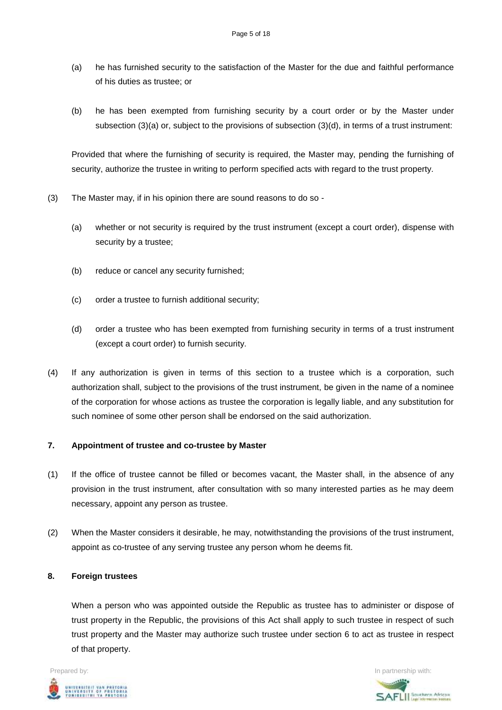- (a) he has furnished security to the satisfaction of the Master for the due and faithful performance of his duties as trustee; or
- (b) he has been exempted from furnishing security by a court order or by the Master under subsection (3)(a) or, subject to the provisions of subsection (3)(d), in terms of a trust instrument:

Provided that where the furnishing of security is required, the Master may, pending the furnishing of security, authorize the trustee in writing to perform specified acts with regard to the trust property.

- (3) The Master may, if in his opinion there are sound reasons to do so
	- (a) whether or not security is required by the trust instrument (except a court order), dispense with security by a trustee;
	- (b) reduce or cancel any security furnished;
	- (c) order a trustee to furnish additional security;
	- (d) order a trustee who has been exempted from furnishing security in terms of a trust instrument (except a court order) to furnish security.
- (4) If any authorization is given in terms of this section to a trustee which is a corporation, such authorization shall, subject to the provisions of the trust instrument, be given in the name of a nominee of the corporation for whose actions as trustee the corporation is legally liable, and any substitution for such nominee of some other person shall be endorsed on the said authorization.

# **7. Appointment of trustee and co-trustee by Master**

- (1) If the office of trustee cannot be filled or becomes vacant, the Master shall, in the absence of any provision in the trust instrument, after consultation with so many interested parties as he may deem necessary, appoint any person as trustee.
- (2) When the Master considers it desirable, he may, notwithstanding the provisions of the trust instrument, appoint as co-trustee of any serving trustee any person whom he deems fit.

# **8. Foreign trustees**

When a person who was appointed outside the Republic as trustee has to administer or dispose of trust property in the Republic, the provisions of this Act shall apply to such trustee in respect of such trust property and the Master may authorize such trustee under section 6 to act as trustee in respect of that property.



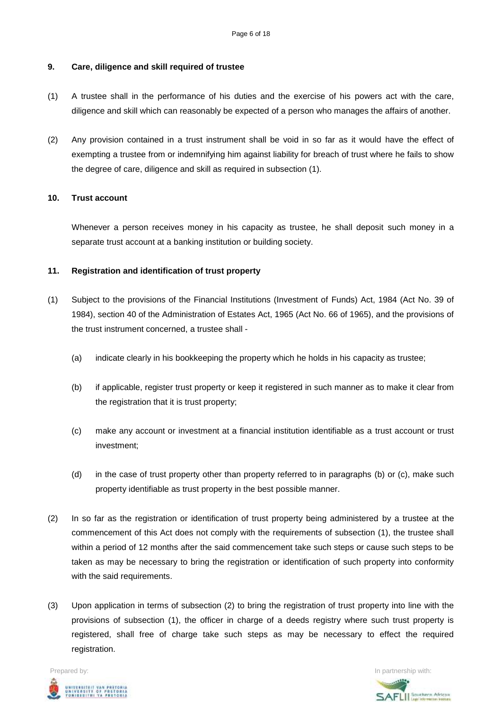#### **9. Care, diligence and skill required of trustee**

- (1) A trustee shall in the performance of his duties and the exercise of his powers act with the care, diligence and skill which can reasonably be expected of a person who manages the affairs of another.
- (2) Any provision contained in a trust instrument shall be void in so far as it would have the effect of exempting a trustee from or indemnifying him against liability for breach of trust where he fails to show the degree of care, diligence and skill as required in subsection (1).

#### **10. Trust account**

Whenever a person receives money in his capacity as trustee, he shall deposit such money in a separate trust account at a banking institution or building society.

#### **11. Registration and identification of trust property**

- (1) Subject to the provisions of the Financial Institutions (Investment of Funds) Act, 1984 (Act No. 39 of 1984), section 40 of the Administration of Estates Act, 1965 (Act No. 66 of 1965), and the provisions of the trust instrument concerned, a trustee shall -
	- (a) indicate clearly in his bookkeeping the property which he holds in his capacity as trustee;
	- (b) if applicable, register trust property or keep it registered in such manner as to make it clear from the registration that it is trust property;
	- (c) make any account or investment at a financial institution identifiable as a trust account or trust investment;
	- (d) in the case of trust property other than property referred to in paragraphs (b) or (c), make such property identifiable as trust property in the best possible manner.
- (2) In so far as the registration or identification of trust property being administered by a trustee at the commencement of this Act does not comply with the requirements of subsection (1), the trustee shall within a period of 12 months after the said commencement take such steps or cause such steps to be taken as may be necessary to bring the registration or identification of such property into conformity with the said requirements.
- (3) Upon application in terms of subsection (2) to bring the registration of trust property into line with the provisions of subsection (1), the officer in charge of a deeds registry where such trust property is registered, shall free of charge take such steps as may be necessary to effect the required registration.



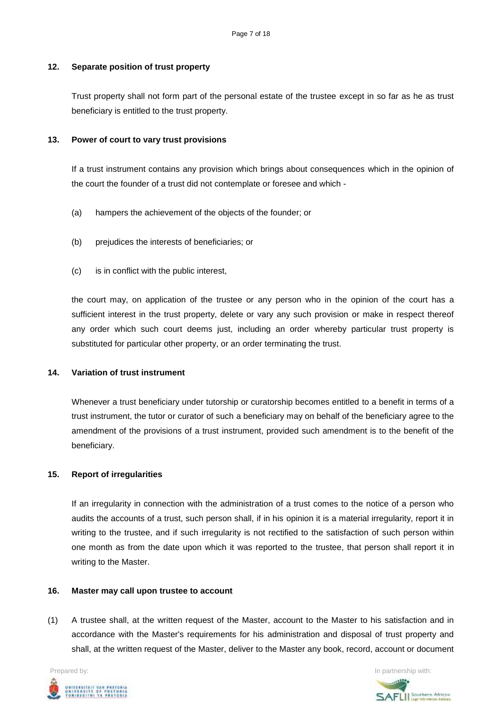# **12. Separate position of trust property**

Trust property shall not form part of the personal estate of the trustee except in so far as he as trust beneficiary is entitled to the trust property.

# **13. Power of court to vary trust provisions**

If a trust instrument contains any provision which brings about consequences which in the opinion of the court the founder of a trust did not contemplate or foresee and which -

- (a) hampers the achievement of the objects of the founder; or
- (b) prejudices the interests of beneficiaries; or
- (c) is in conflict with the public interest,

the court may, on application of the trustee or any person who in the opinion of the court has a sufficient interest in the trust property, delete or vary any such provision or make in respect thereof any order which such court deems just, including an order whereby particular trust property is substituted for particular other property, or an order terminating the trust.

### **14. Variation of trust instrument**

Whenever a trust beneficiary under tutorship or curatorship becomes entitled to a benefit in terms of a trust instrument, the tutor or curator of such a beneficiary may on behalf of the beneficiary agree to the amendment of the provisions of a trust instrument, provided such amendment is to the benefit of the beneficiary.

### **15. Report of irregularities**

If an irregularity in connection with the administration of a trust comes to the notice of a person who audits the accounts of a trust, such person shall, if in his opinion it is a material irregularity, report it in writing to the trustee, and if such irregularity is not rectified to the satisfaction of such person within one month as from the date upon which it was reported to the trustee, that person shall report it in writing to the Master.

### **16. Master may call upon trustee to account**

(1) A trustee shall, at the written request of the Master, account to the Master to his satisfaction and in accordance with the Master's requirements for his administration and disposal of trust property and shall, at the written request of the Master, deliver to the Master any book, record, account or document



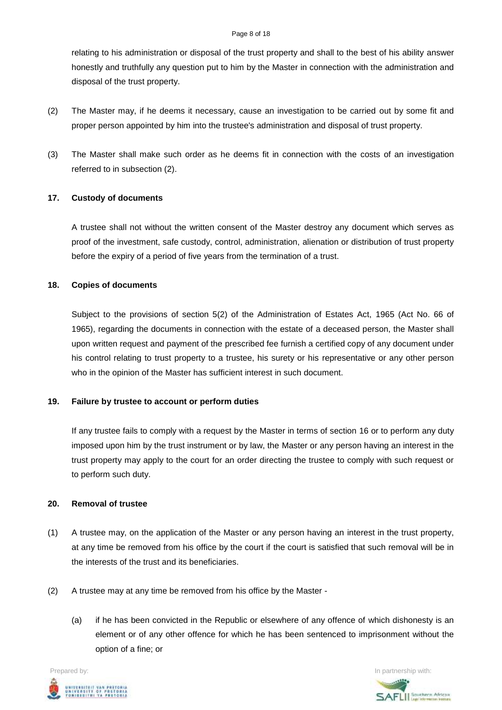#### Page 8 of 18

relating to his administration or disposal of the trust property and shall to the best of his ability answer honestly and truthfully any question put to him by the Master in connection with the administration and disposal of the trust property.

- (2) The Master may, if he deems it necessary, cause an investigation to be carried out by some fit and proper person appointed by him into the trustee's administration and disposal of trust property.
- (3) The Master shall make such order as he deems fit in connection with the costs of an investigation referred to in subsection (2).

# **17. Custody of documents**

A trustee shall not without the written consent of the Master destroy any document which serves as proof of the investment, safe custody, control, administration, alienation or distribution of trust property before the expiry of a period of five years from the termination of a trust.

# **18. Copies of documents**

Subject to the provisions of section 5(2) of the Administration of Estates Act, 1965 (Act No. 66 of 1965), regarding the documents in connection with the estate of a deceased person, the Master shall upon written request and payment of the prescribed fee furnish a certified copy of any document under his control relating to trust property to a trustee, his surety or his representative or any other person who in the opinion of the Master has sufficient interest in such document.

# **19. Failure by trustee to account or perform duties**

If any trustee fails to comply with a request by the Master in terms of section 16 or to perform any duty imposed upon him by the trust instrument or by law, the Master or any person having an interest in the trust property may apply to the court for an order directing the trustee to comply with such request or to perform such duty.

### **20. Removal of trustee**

- (1) A trustee may, on the application of the Master or any person having an interest in the trust property, at any time be removed from his office by the court if the court is satisfied that such removal will be in the interests of the trust and its beneficiaries.
- (2) A trustee may at any time be removed from his office by the Master
	- (a) if he has been convicted in the Republic or elsewhere of any offence of which dishonesty is an element or of any other offence for which he has been sentenced to imprisonment without the option of a fine; or



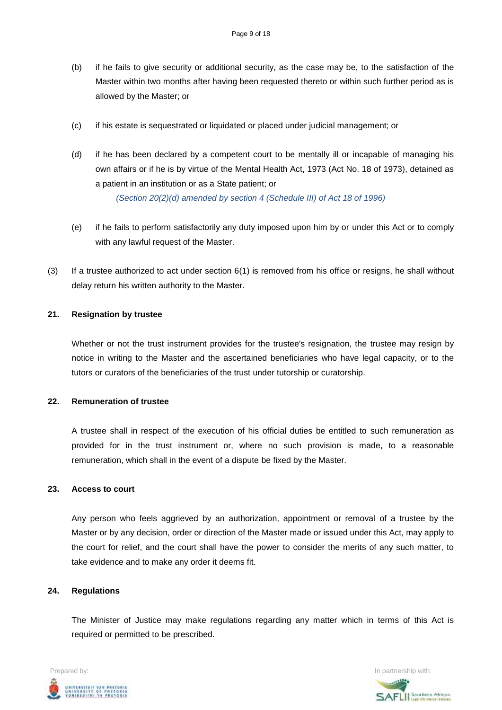- (b) if he fails to give security or additional security, as the case may be, to the satisfaction of the Master within two months after having been requested thereto or within such further period as is allowed by the Master; or
- (c) if his estate is sequestrated or liquidated or placed under judicial management; or
- (d) if he has been declared by a competent court to be mentally ill or incapable of managing his own affairs or if he is by virtue of the Mental Health Act, 1973 (Act No. 18 of 1973), detained as a patient in an institution or as a State patient; or

*(Section 20(2)(d) amended by section 4 (Schedule III) of Act 18 of 1996)*

- (e) if he fails to perform satisfactorily any duty imposed upon him by or under this Act or to comply with any lawful request of the Master.
- (3) If a trustee authorized to act under section 6(1) is removed from his office or resigns, he shall without delay return his written authority to the Master.

#### **21. Resignation by trustee**

Whether or not the trust instrument provides for the trustee's resignation, the trustee may resign by notice in writing to the Master and the ascertained beneficiaries who have legal capacity, or to the tutors or curators of the beneficiaries of the trust under tutorship or curatorship.

# **22. Remuneration of trustee**

A trustee shall in respect of the execution of his official duties be entitled to such remuneration as provided for in the trust instrument or, where no such provision is made, to a reasonable remuneration, which shall in the event of a dispute be fixed by the Master.

#### **23. Access to court**

Any person who feels aggrieved by an authorization, appointment or removal of a trustee by the Master or by any decision, order or direction of the Master made or issued under this Act, may apply to the court for relief, and the court shall have the power to consider the merits of any such matter, to take evidence and to make any order it deems fit.

### **24. Regulations**

The Minister of Justice may make regulations regarding any matter which in terms of this Act is required or permitted to be prescribed.



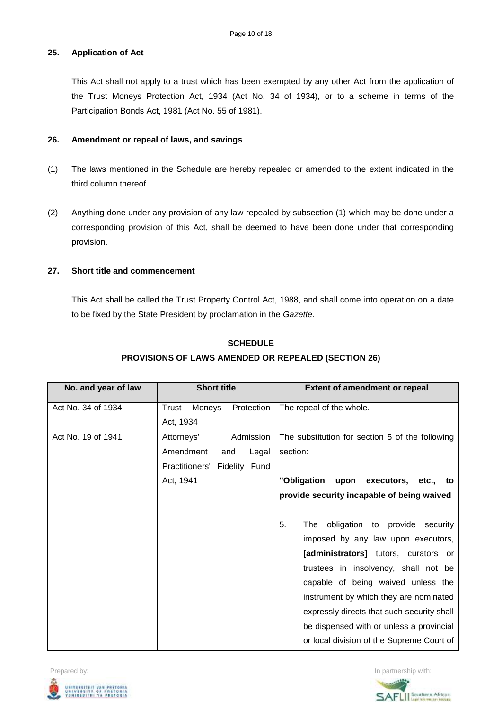# **25. Application of Act**

This Act shall not apply to a trust which has been exempted by any other Act from the application of the Trust Moneys Protection Act, 1934 (Act No. 34 of 1934), or to a scheme in terms of the Participation Bonds Act, 1981 (Act No. 55 of 1981).

## **26. Amendment or repeal of laws, and savings**

- (1) The laws mentioned in the Schedule are hereby repealed or amended to the extent indicated in the third column thereof.
- (2) Anything done under any provision of any law repealed by subsection (1) which may be done under a corresponding provision of this Act, shall be deemed to have been done under that corresponding provision.

# **27. Short title and commencement**

This Act shall be called the Trust Property Control Act, 1988, and shall come into operation on a date to be fixed by the State President by proclamation in the *Gazette*.

| No. and year of law | <b>Short title</b>            | <b>Extent of amendment or repeal</b>            |
|---------------------|-------------------------------|-------------------------------------------------|
| Act No. 34 of 1934  | Moneys<br>Protection<br>Trust | The repeal of the whole.                        |
|                     | Act, 1934                     |                                                 |
| Act No. 19 of 1941  | Attorneys'<br>Admission       | The substitution for section 5 of the following |
|                     | Amendment<br>Legal<br>and     | section:                                        |
|                     | Practitioners' Fidelity Fund  |                                                 |
|                     | Act, 1941                     | "Obligation<br>upon executors, etc., to         |
|                     |                               | provide security incapable of being waived      |
|                     |                               |                                                 |
|                     |                               | 5.<br>obligation to provide security<br>The     |
|                     |                               | imposed by any law upon executors,              |
|                     |                               | [administrators] tutors, curators or            |
|                     |                               | trustees in insolvency, shall not be            |
|                     |                               | capable of being waived unless the              |
|                     |                               | instrument by which they are nominated          |
|                     |                               | expressly directs that such security shall      |
|                     |                               | be dispensed with or unless a provincial        |
|                     |                               | or local division of the Supreme Court of       |

# **SCHEDULE PROVISIONS OF LAWS AMENDED OR REPEALED (SECTION 26)**



**SAFLIL** Southern African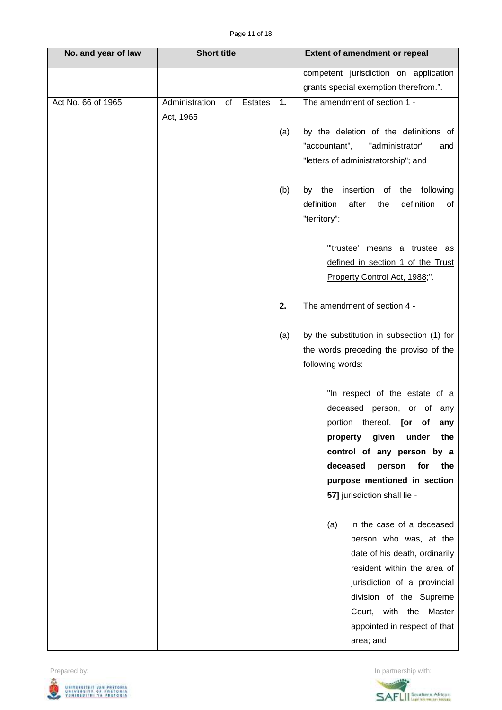| No. and year of law | <b>Short title</b>              |                  | <b>Extent of amendment or repeal</b>      |
|---------------------|---------------------------------|------------------|-------------------------------------------|
|                     |                                 |                  | competent jurisdiction on application     |
|                     |                                 |                  | grants special exemption therefrom.".     |
| Act No. 66 of 1965  | Administration<br>Estates<br>of | 1.               | The amendment of section 1 -              |
|                     | Act, 1965                       |                  |                                           |
|                     |                                 | (a)              | by the deletion of the definitions of     |
|                     |                                 | "accountant",    | "administrator"<br>and                    |
|                     |                                 |                  | "letters of administratorship"; and       |
|                     |                                 | the<br>(b)<br>by | insertion<br>the following<br>of          |
|                     |                                 | definition       | after<br>definition<br>the<br>of          |
|                     |                                 | "territory":     |                                           |
|                     |                                 |                  | "trustee' means a trustee as              |
|                     |                                 |                  | defined in section 1 of the Trust         |
|                     |                                 |                  | Property Control Act, 1988;".             |
|                     |                                 |                  |                                           |
|                     |                                 | 2.               | The amendment of section 4 -              |
|                     |                                 | (a)              | by the substitution in subsection (1) for |
|                     |                                 |                  | the words preceding the proviso of the    |
|                     |                                 | following words: |                                           |
|                     |                                 |                  | "In respect of the estate of a            |
|                     |                                 |                  | deceased person, or of any                |
|                     |                                 |                  | portion thereof, [or of any               |
|                     |                                 |                  | property given<br>under<br>the            |
|                     |                                 |                  | control of any person by a                |
|                     |                                 |                  | deceased<br>for<br>person<br>the          |
|                     |                                 |                  | purpose mentioned in section              |
|                     |                                 |                  | 57] jurisdiction shall lie -              |
|                     |                                 | (a)              | in the case of a deceased                 |
|                     |                                 |                  | person who was, at the                    |
|                     |                                 |                  | date of his death, ordinarily             |
|                     |                                 |                  | resident within the area of               |
|                     |                                 |                  | jurisdiction of a provincial              |
|                     |                                 |                  | division of the Supreme                   |
|                     |                                 |                  | Court, with the Master                    |
|                     |                                 |                  | appointed in respect of that              |
|                     |                                 |                  | area; and                                 |



SAFLIL<sup>Southern</sup> African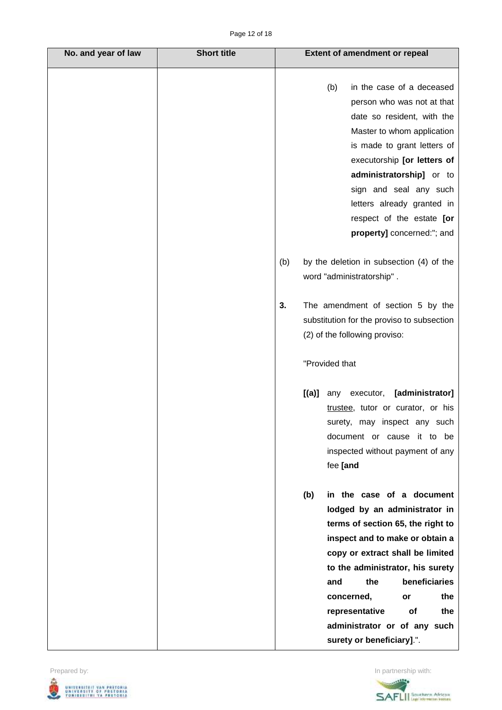| No. and year of law | <b>Short title</b> | <b>Extent of amendment or repeal</b>                                                                                                                                                                                                                                                                                                                                    |
|---------------------|--------------------|-------------------------------------------------------------------------------------------------------------------------------------------------------------------------------------------------------------------------------------------------------------------------------------------------------------------------------------------------------------------------|
|                     |                    | (b)<br>in the case of a deceased<br>person who was not at that<br>date so resident, with the<br>Master to whom application<br>is made to grant letters of<br>executorship [or letters of<br>administratorship] or to<br>sign and seal any such<br>letters already granted in<br>respect of the estate [or<br>property] concerned:"; and                                 |
|                     |                    | by the deletion in subsection (4) of the<br>(b)<br>word "administratorship".                                                                                                                                                                                                                                                                                            |
|                     |                    | The amendment of section 5 by the<br>3.<br>substitution for the proviso to subsection<br>(2) of the following proviso:                                                                                                                                                                                                                                                  |
|                     |                    | "Provided that                                                                                                                                                                                                                                                                                                                                                          |
|                     |                    | [administrator]<br>[(a)]<br>any executor,<br>trustee, tutor or curator, or his<br>surety, may inspect any such<br>document or cause it to be<br>inspected without payment of any<br>fee [and                                                                                                                                                                            |
|                     |                    | (b)<br>in the case of a document<br>lodged by an administrator in<br>terms of section 65, the right to<br>inspect and to make or obtain a<br>copy or extract shall be limited<br>to the administrator, his surety<br>beneficiaries<br>the<br>and<br>the<br>concerned,<br>or<br>representative<br>of<br>the<br>administrator or of any such<br>surety or beneficiary].". |



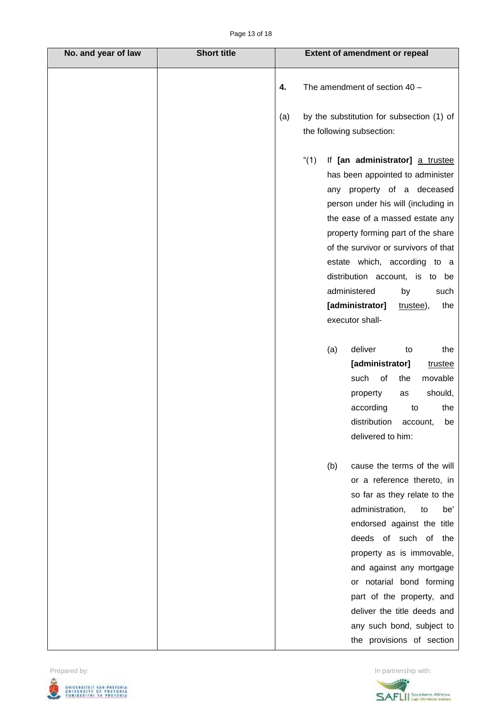| No. and year of law | <b>Short title</b> | <b>Extent of amendment or repeal</b>                                                                                                                                                                                                                                                                                                                                                                                                                                                                                                                                                                                                |
|---------------------|--------------------|-------------------------------------------------------------------------------------------------------------------------------------------------------------------------------------------------------------------------------------------------------------------------------------------------------------------------------------------------------------------------------------------------------------------------------------------------------------------------------------------------------------------------------------------------------------------------------------------------------------------------------------|
|                     |                    | The amendment of section 40 -<br>4.                                                                                                                                                                                                                                                                                                                                                                                                                                                                                                                                                                                                 |
|                     |                    | by the substitution for subsection (1) of<br>(a)<br>the following subsection:                                                                                                                                                                                                                                                                                                                                                                                                                                                                                                                                                       |
|                     |                    | "(1)<br>If [an administrator] a trustee<br>has been appointed to administer<br>any property of a deceased<br>person under his will (including in<br>the ease of a massed estate any<br>property forming part of the share<br>of the survivor or survivors of that<br>estate which, according to a<br>distribution account, is to be<br>administered<br>by<br>such<br>[administrator]<br>the<br>trustee),<br>executor shall-<br>deliver<br>(a)<br>to<br>the<br>[administrator]<br>trustee<br>such<br>of<br>the<br>movable<br>should,<br>property<br>as<br>according<br>the<br>to<br>distribution account,<br>be<br>delivered to him: |
|                     |                    | cause the terms of the will<br>(b)<br>or a reference thereto, in<br>so far as they relate to the<br>administration,<br>to<br>be'<br>endorsed against the title<br>deeds of such of the<br>property as is immovable,<br>and against any mortgage<br>or notarial bond forming<br>part of the property, and<br>deliver the title deeds and<br>any such bond, subject to<br>the provisions of section                                                                                                                                                                                                                                   |





 $\mathsf{l}$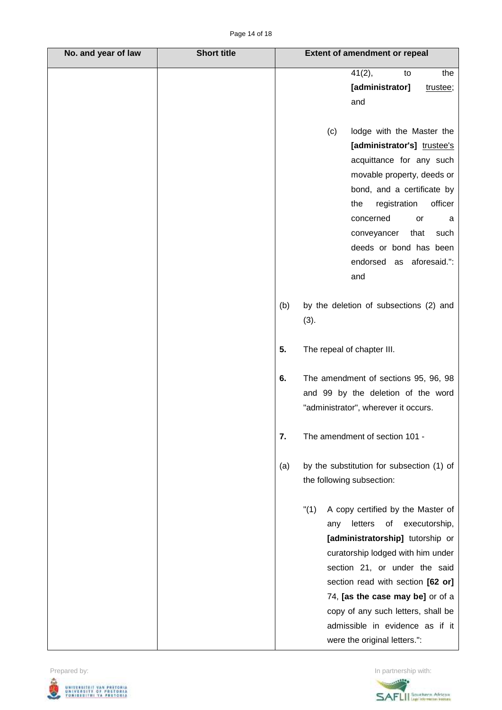| No. and year of law | <b>Short title</b> |     | <b>Extent of amendment or repeal</b>      |
|---------------------|--------------------|-----|-------------------------------------------|
|                     |                    |     | 41(2),<br>the<br>to                       |
|                     |                    |     | [administrator]<br>trustee;               |
|                     |                    |     | and                                       |
|                     |                    |     |                                           |
|                     |                    |     | lodge with the Master the<br>(c)          |
|                     |                    |     | [administrator's] trustee's               |
|                     |                    |     | acquittance for any such                  |
|                     |                    |     | movable property, deeds or                |
|                     |                    |     | bond, and a certificate by                |
|                     |                    |     | officer<br>registration<br>the            |
|                     |                    |     | concerned<br>or<br>a                      |
|                     |                    |     | conveyancer<br>that<br>such               |
|                     |                    |     | deeds or bond has been                    |
|                     |                    |     | endorsed as aforesaid.":                  |
|                     |                    |     | and                                       |
|                     |                    | (b) | by the deletion of subsections (2) and    |
|                     |                    |     | (3).                                      |
|                     |                    |     |                                           |
|                     |                    | 5.  | The repeal of chapter III.                |
|                     |                    | 6.  | The amendment of sections 95, 96, 98      |
|                     |                    |     | and 99 by the deletion of the word        |
|                     |                    |     | "administrator", wherever it occurs.      |
|                     |                    |     |                                           |
|                     |                    | 7.  | The amendment of section 101 -            |
|                     |                    | (a) | by the substitution for subsection (1) of |
|                     |                    |     | the following subsection:                 |
|                     |                    |     |                                           |
|                     |                    |     | "(1)<br>A copy certified by the Master of |
|                     |                    |     | letters<br>executorship,<br>οf<br>any     |
|                     |                    |     | [administratorship] tutorship or          |
|                     |                    |     | curatorship lodged with him under         |
|                     |                    |     | section 21, or under the said             |
|                     |                    |     | section read with section [62 or]         |
|                     |                    |     | 74, [as the case may be] or of a          |
|                     |                    |     | copy of any such letters, shall be        |
|                     |                    |     | admissible in evidence as if it           |
|                     |                    |     | were the original letters.":              |



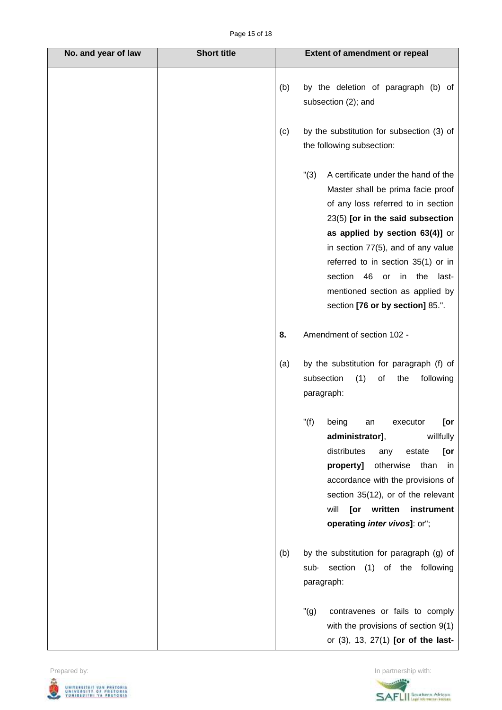| No. and year of law | <b>Short title</b> |     | <b>Extent of amendment or repeal</b>                                                                                                                                                                                                                                                                                                                                                          |
|---------------------|--------------------|-----|-----------------------------------------------------------------------------------------------------------------------------------------------------------------------------------------------------------------------------------------------------------------------------------------------------------------------------------------------------------------------------------------------|
|                     |                    | (b) | by the deletion of paragraph (b) of<br>subsection (2); and                                                                                                                                                                                                                                                                                                                                    |
|                     |                    | (c) | by the substitution for subsection (3) of<br>the following subsection:                                                                                                                                                                                                                                                                                                                        |
|                     |                    |     | "(3)<br>A certificate under the hand of the<br>Master shall be prima facie proof<br>of any loss referred to in section<br>23(5) [or in the said subsection<br>as applied by section 63(4)] or<br>in section 77(5), and of any value<br>referred to in section 35(1) or in<br>section<br>46<br>the<br>or<br>in<br>last-<br>mentioned section as applied by<br>section [76 or by section] 85.". |
|                     |                    | 8.  | Amendment of section 102 -                                                                                                                                                                                                                                                                                                                                                                    |
|                     |                    | (a) | by the substitution for paragraph (f) of<br>subsection<br>(1)<br>of<br>the<br>following<br>paragraph:                                                                                                                                                                                                                                                                                         |
|                     |                    |     | "(f)<br>being<br>[or<br>executor<br>an<br>administrator],<br>willfully<br>distributes<br>estate<br>[or<br>any<br>otherwise<br>property]<br>than<br>in<br>accordance with the provisions of<br>section 35(12), or of the relevant<br>will<br>written<br>instrument<br>[or<br>operating inter vivos]: or";                                                                                      |
|                     |                    | (b) | by the substitution for paragraph (g) of<br>section<br>(1) of the following<br>sub-<br>paragraph:                                                                                                                                                                                                                                                                                             |
|                     |                    |     | $"(\mathsf{g})$<br>contravenes or fails to comply<br>with the provisions of section 9(1)<br>or (3), 13, 27(1) [or of the last-                                                                                                                                                                                                                                                                |



SAFLIL<sup>Southern</sup> African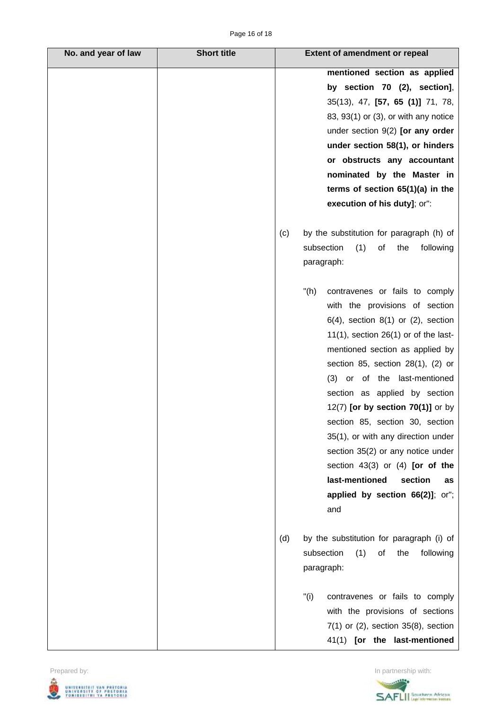| No. and year of law | <b>Short title</b> | <b>Extent of amendment or repeal</b>            |
|---------------------|--------------------|-------------------------------------------------|
|                     |                    | mentioned section as applied                    |
|                     |                    | by section 70 (2), section],                    |
|                     |                    | 35(13), 47, [57, 65 (1)] 71, 78,                |
|                     |                    | 83, 93(1) or (3), or with any notice            |
|                     |                    | under section $9(2)$ [or any order              |
|                     |                    | under section 58(1), or hinders                 |
|                     |                    | or obstructs any accountant                     |
|                     |                    | nominated by the Master in                      |
|                     |                    | terms of section $65(1)(a)$ in the              |
|                     |                    | execution of his duty]; or":                    |
|                     |                    | by the substitution for paragraph (h) of<br>(c) |
|                     |                    | subsection<br>(1)<br>of<br>the<br>following     |
|                     |                    | paragraph:                                      |
|                     |                    | " $(h)$<br>contravenes or fails to comply       |
|                     |                    | with the provisions of section                  |
|                     |                    | $6(4)$ , section $8(1)$ or $(2)$ , section      |
|                     |                    | $11(1)$ , section 26(1) or of the last-         |
|                     |                    | mentioned section as applied by                 |
|                     |                    | section 85, section $28(1)$ , $(2)$ or          |
|                     |                    | (3) or of the last-mentioned                    |
|                     |                    | section as applied by section                   |
|                     |                    | 12(7) [or by section 70(1)] or by               |
|                     |                    | section 85, section 30, section                 |
|                     |                    | 35(1), or with any direction under              |
|                     |                    | section 35(2) or any notice under               |
|                     |                    | section $43(3)$ or $(4)$ [or of the             |
|                     |                    | last-mentioned<br>section<br>as                 |
|                     |                    | applied by section 66(2)]; or";                 |
|                     |                    | and                                             |
|                     |                    | by the substitution for paragraph (i) of<br>(d) |
|                     |                    | (1)<br>subsection<br>of<br>the<br>following     |
|                     |                    | paragraph:                                      |
|                     |                    | "(i)<br>contravenes or fails to comply          |
|                     |                    | with the provisions of sections                 |
|                     |                    | $7(1)$ or $(2)$ , section $35(8)$ , section     |
|                     |                    | 41(1) [or the last-mentioned                    |

Prepared by: In partnership with: UNIVERSITEIT VAN PRETORIA<br>UNIVERSITY OF PRETORIA<br>YUNIBESITHI YA PRETORIA ط

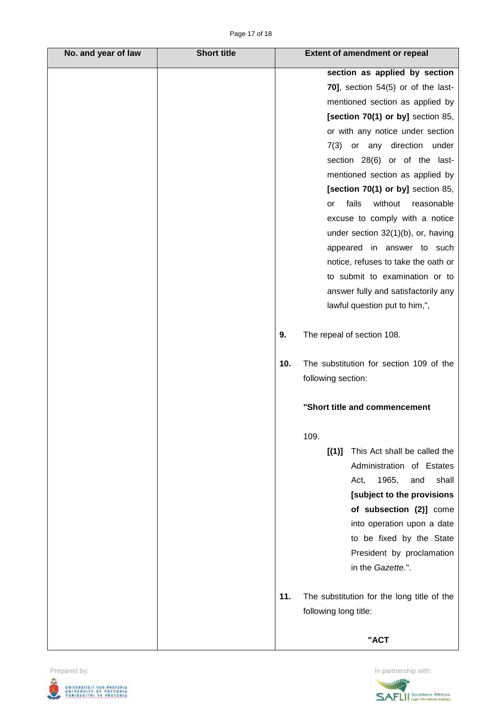| No. and year of law | <b>Short title</b> |     | <b>Extent of amendment or repeal</b>       |
|---------------------|--------------------|-----|--------------------------------------------|
|                     |                    |     | section as applied by section              |
|                     |                    |     | 70], section $54(5)$ or of the last-       |
|                     |                    |     | mentioned section as applied by            |
|                     |                    |     | [section 70(1) or by] section 85,          |
|                     |                    |     | or with any notice under section           |
|                     |                    |     | 7(3) or any direction<br>under             |
|                     |                    |     | section 28(6) or of the last-              |
|                     |                    |     | mentioned section as applied by            |
|                     |                    |     | [section 70(1) or by] section 85,          |
|                     |                    |     | fails<br>without<br>reasonable<br>or       |
|                     |                    |     | excuse to comply with a notice             |
|                     |                    |     | under section 32(1)(b), or, having         |
|                     |                    |     | appeared in answer to such                 |
|                     |                    |     | notice, refuses to take the oath or        |
|                     |                    |     | to submit to examination or to             |
|                     |                    |     | answer fully and satisfactorily any        |
|                     |                    |     | lawful question put to him,",              |
|                     |                    |     |                                            |
|                     |                    | 9.  | The repeal of section 108.                 |
|                     |                    | 10. | The substitution for section 109 of the    |
|                     |                    |     | following section:                         |
|                     |                    |     |                                            |
|                     |                    |     | "Short title and commencement              |
|                     |                    |     | 109.                                       |
|                     |                    |     | This Act shall be called the<br>[(1)]      |
|                     |                    |     | Administration of Estates                  |
|                     |                    |     | 1965,<br>shall<br>and<br>Act,              |
|                     |                    |     | [subject to the provisions                 |
|                     |                    |     | of subsection (2)] come                    |
|                     |                    |     | into operation upon a date                 |
|                     |                    |     | to be fixed by the State                   |
|                     |                    |     | President by proclamation                  |
|                     |                    |     | in the Gazette.".                          |
|                     |                    | 11. | The substitution for the long title of the |
|                     |                    |     | following long title:                      |
|                     |                    |     | "ACT                                       |